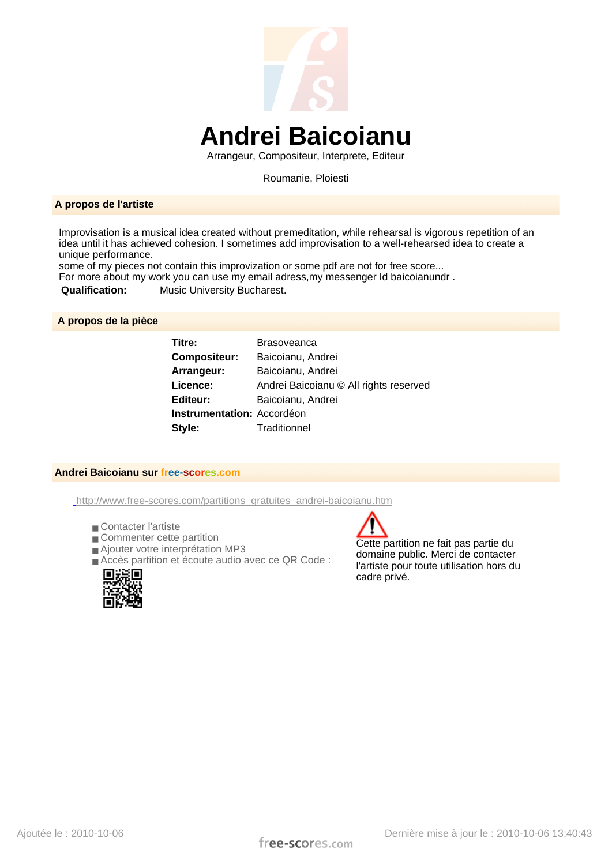

Arrangeur, Compositeur, Interprete, Editeur

Roumanie, Ploiesti

## **A propos de l'artiste**

Improvisation is a musical idea created without premeditation, while rehearsal is vigorous repetition of an idea until it has achieved cohesion. I sometimes add improvisation to a well-rehearsed idea to create a unique performance.

some of my pieces not contain this improvization or some pdf are not for free score... For more about my work you can use my email adress,my messenger Id baicoianundr .

**Qualification:** Music University Bucharest.

 **A propos de la pièce**

| Titre:                            | <b>Brasoveanca</b>                     |
|-----------------------------------|----------------------------------------|
| Compositeur:                      | Baicoianu, Andrei                      |
| Arrangeur:                        | Baicoianu, Andrei                      |
| Licence:                          | Andrei Baicoianu © All rights reserved |
| Editeur:                          | Baicoianu, Andrei                      |
| <b>Instrumentation: Accordéon</b> |                                        |
| Style:                            | Traditionnel                           |
|                                   |                                        |

## **Andrei Baicoianu sur free-scores.com**

http://www.free-scores.com/partitions\_gratuites\_andrei-baicoianu.htm

- Contacter l'artiste
- Commenter cette partition
- Ajouter votre interprétation MP3 ■ Accès partition et écoute audio avec ce QR Code :





Cette partition ne fait pas partie du domaine public. Merci de contacter l'artiste pour toute utilisation hors du cadre privé.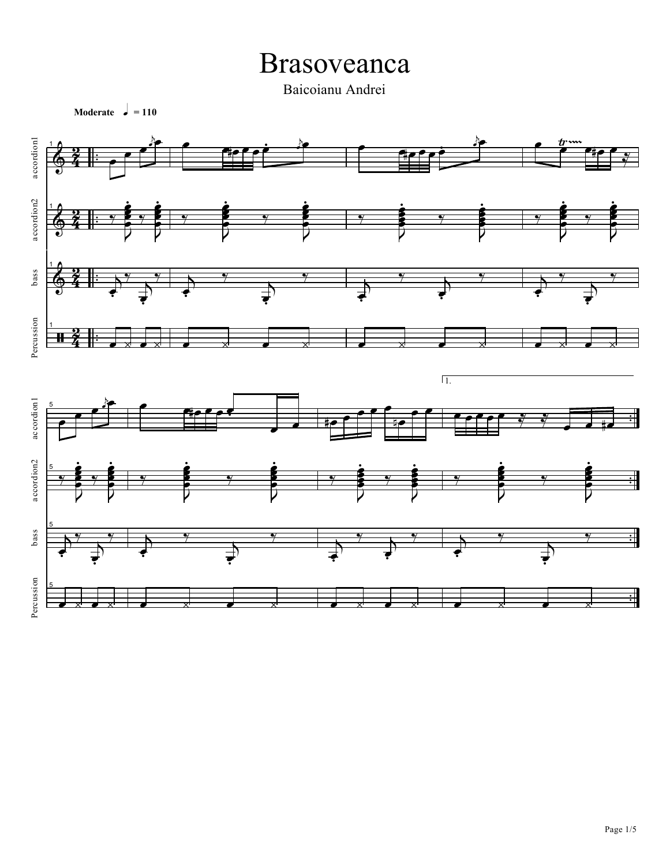Brasoveanca

Baicoianu Andrei



![](_page_1_Figure_3.jpeg)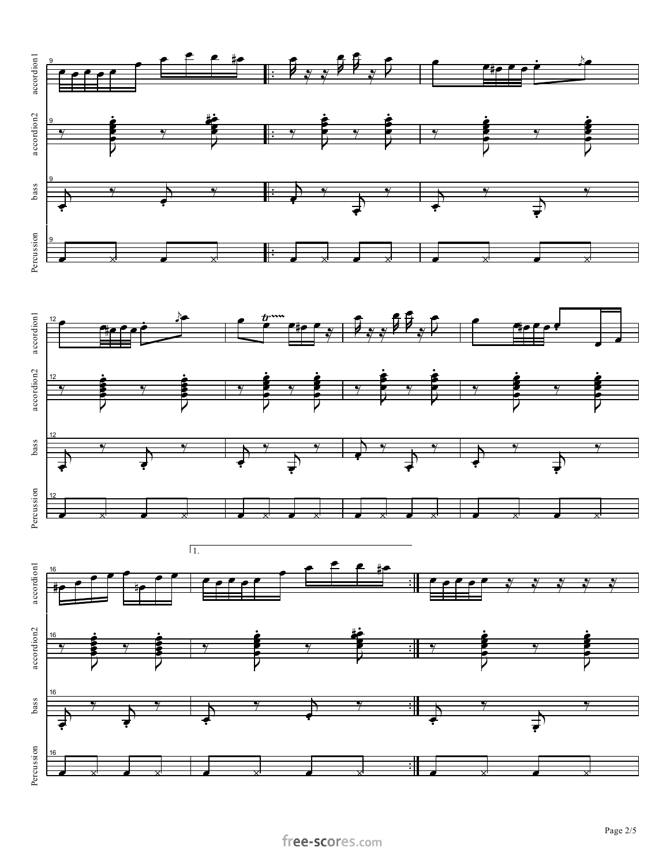![](_page_2_Figure_0.jpeg)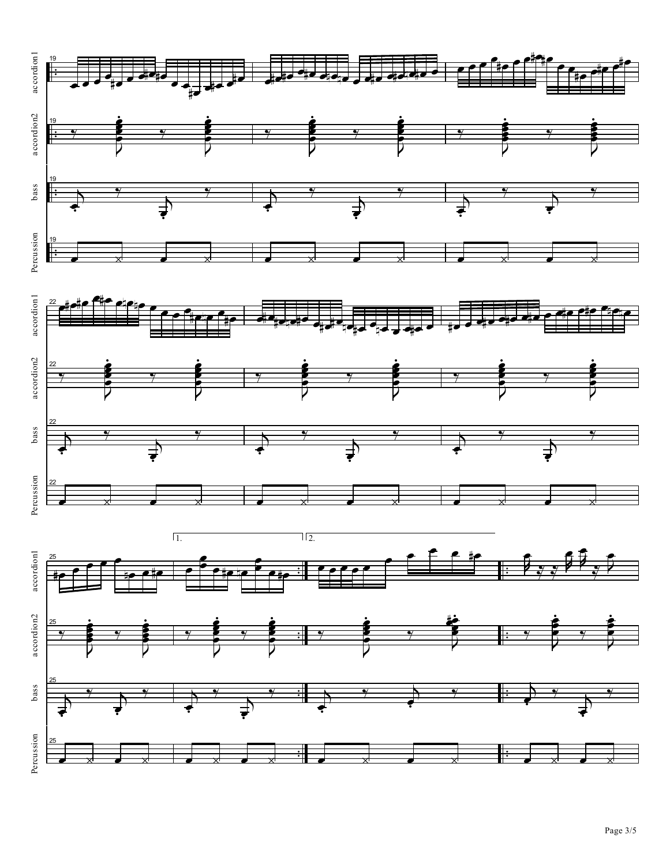![](_page_3_Figure_0.jpeg)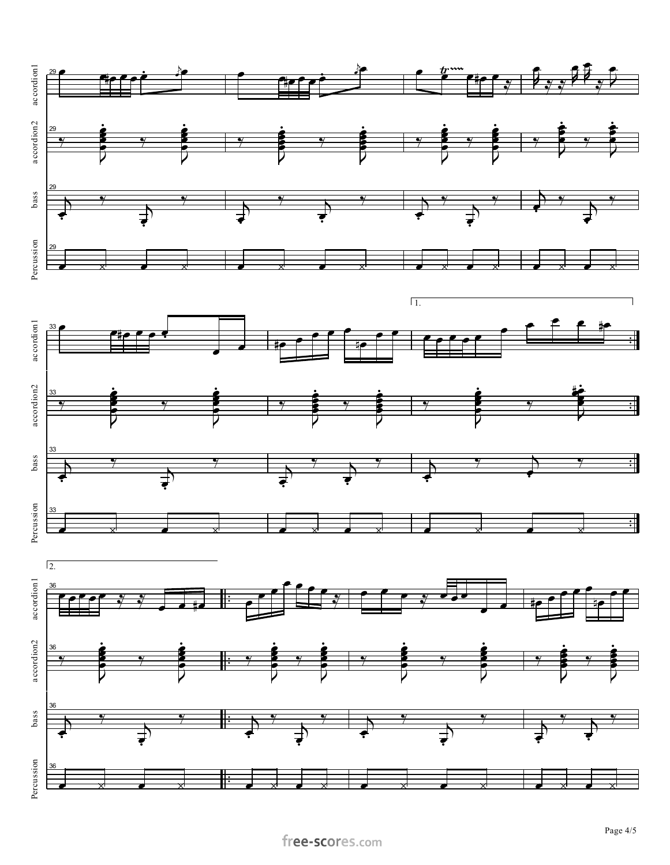![](_page_4_Figure_0.jpeg)